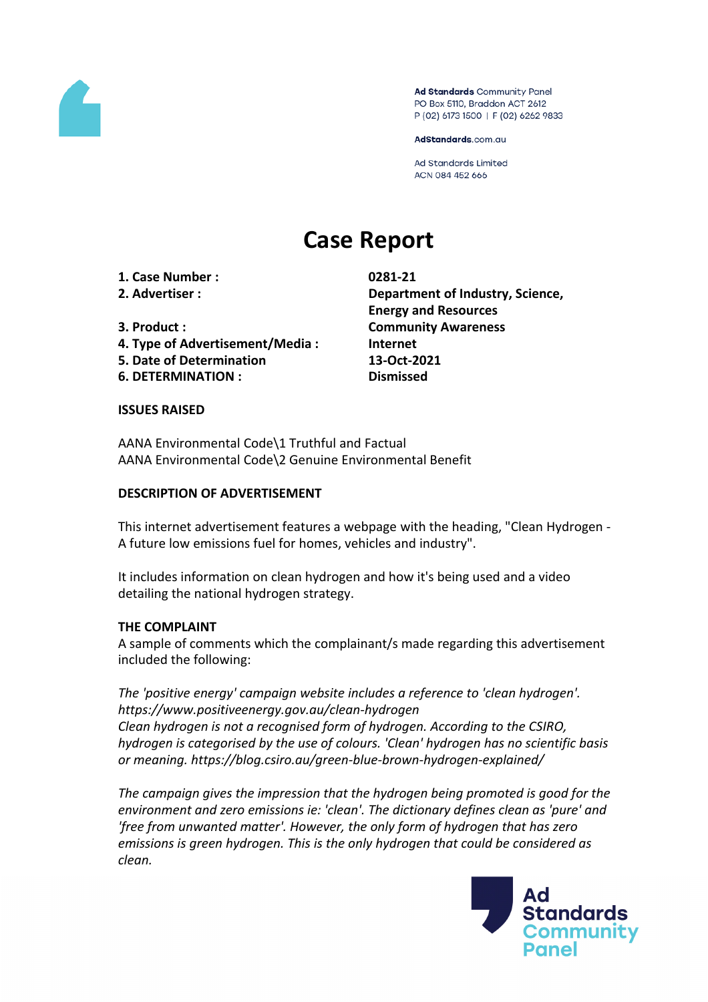

Ad Standards Community Panel PO Box 5110, Braddon ACT 2612 P (02) 6173 1500 | F (02) 6262 9833

AdStandards.com.au

**Ad Standards Limited** ACN 084 452 666

# **Case Report**

**1. Case Number : 0281-21**

- **4. Type of Advertisement/Media : Internet**
- **5. Date of Determination 13-Oct-2021**
- **6. DETERMINATION : Dismissed**

**2. Advertiser : Department of Industry, Science, Energy and Resources 3. Product : Community Awareness**

## **ISSUES RAISED**

AANA Environmental Code\1 Truthful and Factual AANA Environmental Code\2 Genuine Environmental Benefit

## **DESCRIPTION OF ADVERTISEMENT**

This internet advertisement features a webpage with the heading, "Clean Hydrogen - A future low emissions fuel for homes, vehicles and industry".

It includes information on clean hydrogen and how it's being used and a video detailing the national hydrogen strategy.

## **THE COMPLAINT**

A sample of comments which the complainant/s made regarding this advertisement included the following:

*The 'positive energy' campaign website includes a reference to 'clean hydrogen'. https://www.positiveenergy.gov.au/clean-hydrogen Clean hydrogen is not a recognised form of hydrogen. According to the CSIRO, hydrogen is categorised by the use of colours. 'Clean' hydrogen has no scientific basis or meaning. https://blog.csiro.au/green-blue-brown-hydrogen-explained/*

*The campaign gives the impression that the hydrogen being promoted is good for the environment and zero emissions ie: 'clean'. The dictionary defines clean as 'pure' and 'free from unwanted matter'. However, the only form of hydrogen that has zero emissions is green hydrogen. This is the only hydrogen that could be considered as clean.*

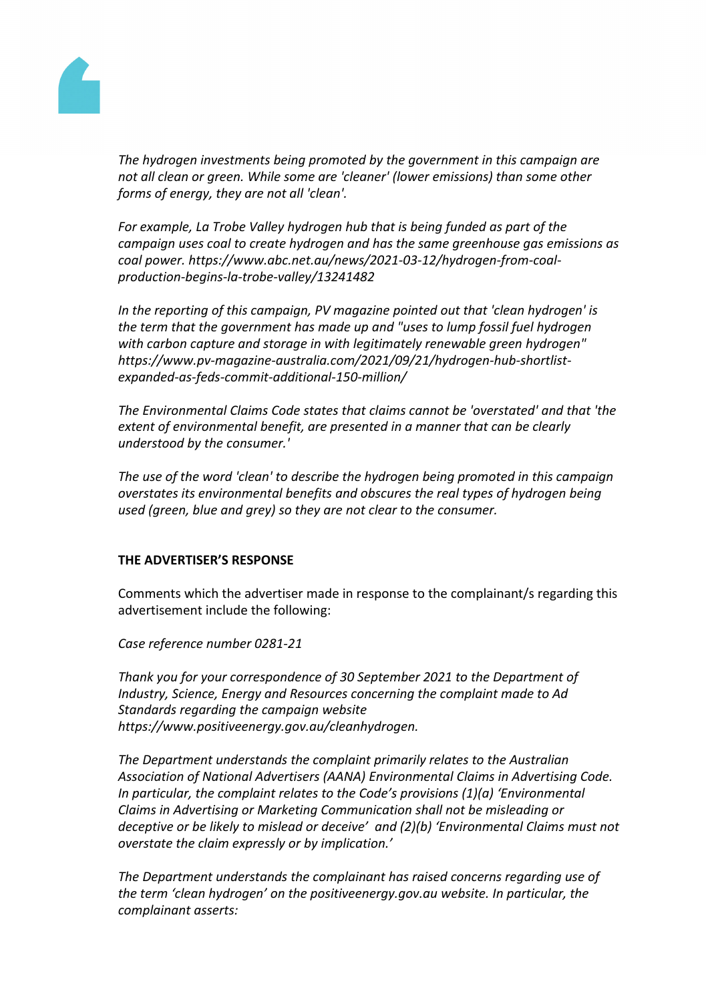

*The hydrogen investments being promoted by the government in this campaign are not all clean or green. While some are 'cleaner' (lower emissions) than some other forms of energy, they are not all 'clean'.*

*For example, La Trobe Valley hydrogen hub that is being funded as part of the campaign uses coal to create hydrogen and has the same greenhouse gas emissions as coal power. https://www.abc.net.au/news/2021-03-12/hydrogen-from-coalproduction-begins-la-trobe-valley/13241482*

*In the reporting of this campaign, PV magazine pointed out that 'clean hydrogen' is the term that the government has made up and "uses to lump fossil fuel hydrogen with carbon capture and storage in with legitimately renewable green hydrogen" https://www.pv-magazine-australia.com/2021/09/21/hydrogen-hub-shortlistexpanded-as-feds-commit-additional-150-million/*

*The Environmental Claims Code states that claims cannot be 'overstated' and that 'the extent of environmental benefit, are presented in a manner that can be clearly understood by the consumer.'*

*The use of the word 'clean' to describe the hydrogen being promoted in this campaign overstates its environmental benefits and obscures the real types of hydrogen being used (green, blue and grey) so they are not clear to the consumer.*

## **THE ADVERTISER'S RESPONSE**

Comments which the advertiser made in response to the complainant/s regarding this advertisement include the following:

*Case reference number 0281-21*

*Thank you for your correspondence of 30 September 2021 to the Department of Industry, Science, Energy and Resources concerning the complaint made to Ad Standards regarding the campaign website https://www.positiveenergy.gov.au/cleanhydrogen.*

*The Department understands the complaint primarily relates to the Australian Association of National Advertisers (AANA) Environmental Claims in Advertising Code. In particular, the complaint relates to the Code's provisions (1)(a) 'Environmental Claims in Advertising or Marketing Communication shall not be misleading or deceptive or be likely to mislead or deceive' and (2)(b) 'Environmental Claims must not overstate the claim expressly or by implication.'*

*The Department understands the complainant has raised concerns regarding use of the term 'clean hydrogen' on the positiveenergy.gov.au website. In particular, the complainant asserts:*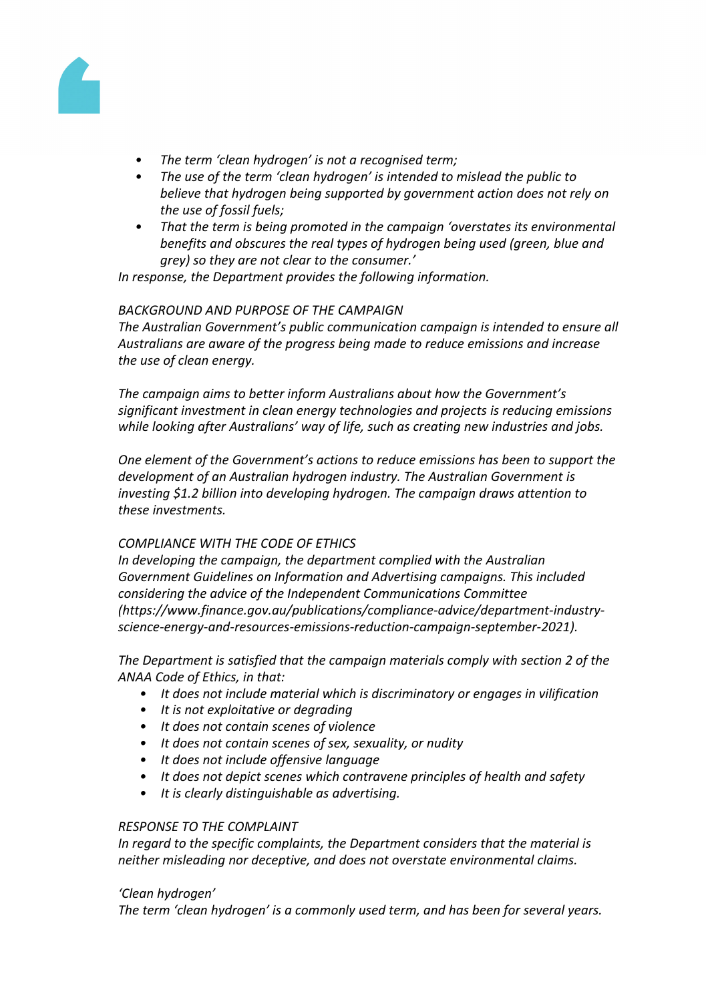

- *• The term 'clean hydrogen' is not a recognised term;*
- *• The use of the term 'clean hydrogen' is intended to mislead the public to believe that hydrogen being supported by government action does not rely on the use of fossil fuels;*
- *• That the term is being promoted in the campaign 'overstates its environmental benefits and obscures the real types of hydrogen being used (green, blue and grey) so they are not clear to the consumer.'*

*In response, the Department provides the following information.*

# *BACKGROUND AND PURPOSE OF THE CAMPAIGN*

*The Australian Government's public communication campaign is intended to ensure all Australians are aware of the progress being made to reduce emissions and increase the use of clean energy.*

*The campaign aims to better inform Australians about how the Government's significant investment in clean energy technologies and projects is reducing emissions while looking after Australians' way of life, such as creating new industries and jobs.*

*One element of the Government's actions to reduce emissions has been to support the development of an Australian hydrogen industry. The Australian Government is investing \$1.2 billion into developing hydrogen. The campaign draws attention to these investments.*

## *COMPLIANCE WITH THE CODE OF ETHICS*

*In developing the campaign, the department complied with the Australian Government Guidelines on Information and Advertising campaigns. This included considering the advice of the Independent Communications Committee (https://www.finance.gov.au/publications/compliance-advice/department-industryscience-energy-and-resources-emissions-reduction-campaign-september-2021).*

*The Department is satisfied that the campaign materials comply with section 2 of the ANAA Code of Ethics, in that:*

- *• It does not include material which is discriminatory or engages in vilification*
- *• It is not exploitative or degrading*
- *• It does not contain scenes of violence*
- *• It does not contain scenes of sex, sexuality, or nudity*
- *• It does not include offensive language*
- *• It does not depict scenes which contravene principles of health and safety*
- *• It is clearly distinguishable as advertising.*

## *RESPONSE TO THE COMPLAINT*

*In regard to the specific complaints, the Department considers that the material is neither misleading nor deceptive, and does not overstate environmental claims.*

## *'Clean hydrogen'*

*The term 'clean hydrogen' is a commonly used term, and has been for several years.*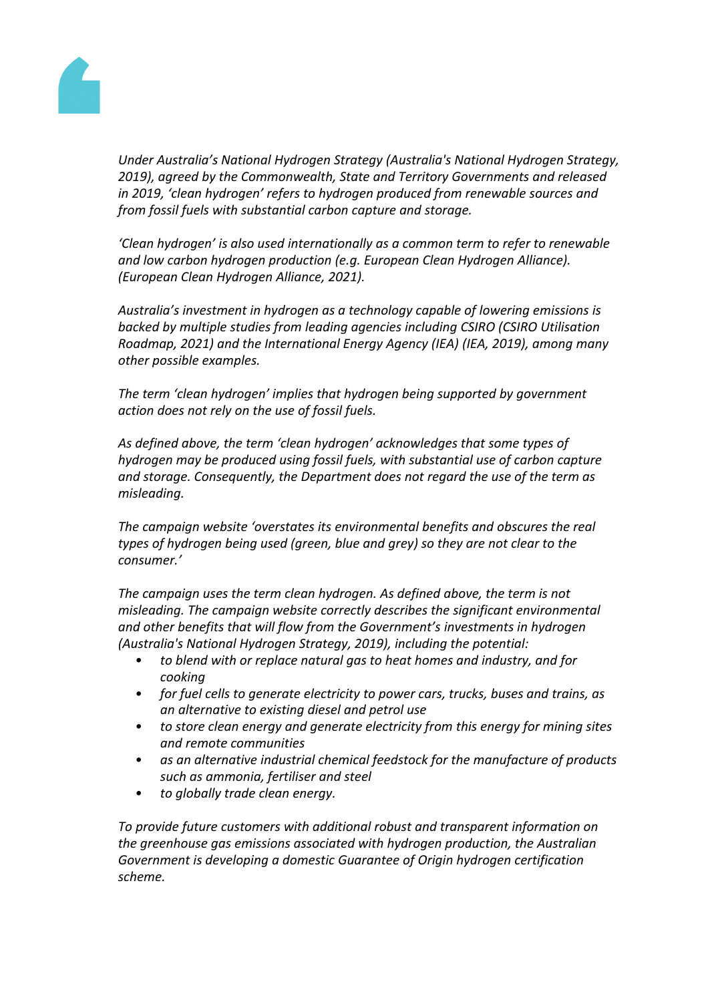

*Under Australia's National Hydrogen Strategy (Australia's National Hydrogen Strategy, 2019), agreed by the Commonwealth, State and Territory Governments and released in 2019, 'clean hydrogen' refers to hydrogen produced from renewable sources and from fossil fuels with substantial carbon capture and storage.*

*'Clean hydrogen' is also used internationally as a common term to refer to renewable and low carbon hydrogen production (e.g. European Clean Hydrogen Alliance). (European Clean Hydrogen Alliance, 2021).*

*Australia's investment in hydrogen as a technology capable of lowering emissions is backed by multiple studies from leading agencies including CSIRO (CSIRO Utilisation Roadmap, 2021) and the International Energy Agency (IEA) (IEA, 2019), among many other possible examples.*

*The term 'clean hydrogen' implies that hydrogen being supported by government action does not rely on the use of fossil fuels.*

*As defined above, the term 'clean hydrogen' acknowledges that some types of hydrogen may be produced using fossil fuels, with substantial use of carbon capture and storage. Consequently, the Department does not regard the use of the term as misleading.*

*The campaign website 'overstates its environmental benefits and obscures the real types of hydrogen being used (green, blue and grey) so they are not clear to the consumer.'*

*The campaign uses the term clean hydrogen. As defined above, the term is not misleading. The campaign website correctly describes the significant environmental and other benefits that will flow from the Government's investments in hydrogen (Australia's National Hydrogen Strategy, 2019), including the potential:*

- *• to blend with or replace natural gas to heat homes and industry, and for cooking*
- *• for fuel cells to generate electricity to power cars, trucks, buses and trains, as an alternative to existing diesel and petrol use*
- *• to store clean energy and generate electricity from this energy for mining sites and remote communities*
- *• as an alternative industrial chemical feedstock for the manufacture of products such as ammonia, fertiliser and steel*
- *• to globally trade clean energy.*

*To provide future customers with additional robust and transparent information on the greenhouse gas emissions associated with hydrogen production, the Australian Government is developing a domestic Guarantee of Origin hydrogen certification scheme.*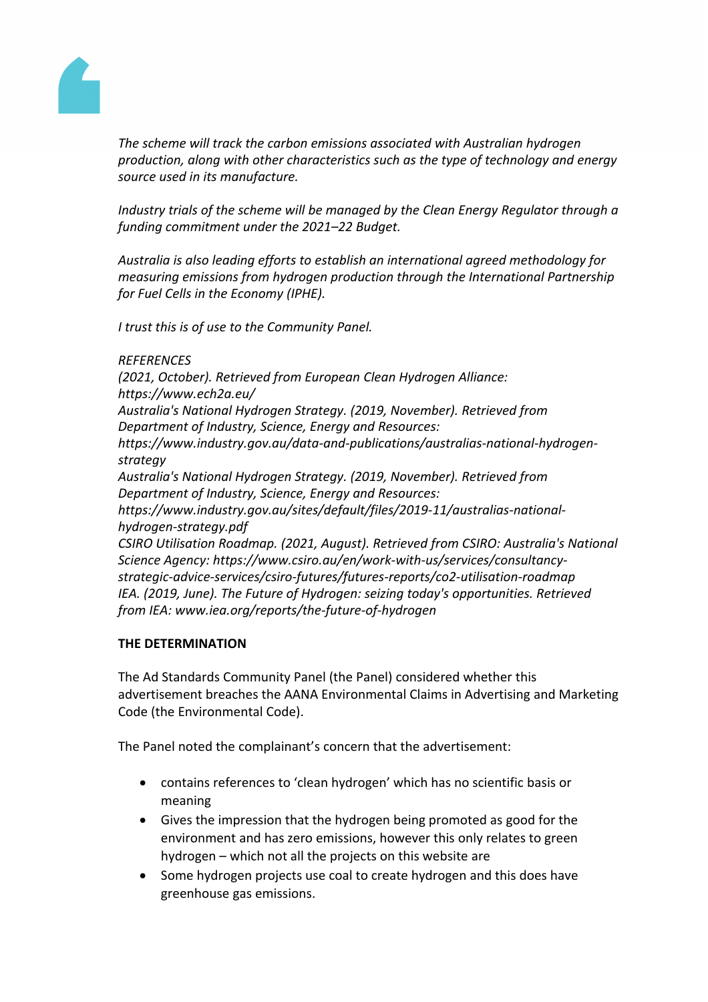

*The scheme will track the carbon emissions associated with Australian hydrogen production, along with other characteristics such as the type of technology and energy source used in its manufacture.*

*Industry trials of the scheme will be managed by the Clean Energy Regulator through a funding commitment under the 2021–22 Budget.*

*Australia is also leading efforts to establish an international agreed methodology for measuring emissions from hydrogen production through the International Partnership for Fuel Cells in the Economy (IPHE).*

*I trust this is of use to the Community Panel.*

## *REFERENCES*

*(2021, October). Retrieved from European Clean Hydrogen Alliance: https://www.ech2a.eu/ Australia's National Hydrogen Strategy. (2019, November). Retrieved from Department of Industry, Science, Energy and Resources: https://www.industry.gov.au/data-and-publications/australias-national-hydrogenstrategy Australia's National Hydrogen Strategy. (2019, November). Retrieved from Department of Industry, Science, Energy and Resources: https://www.industry.gov.au/sites/default/files/2019-11/australias-nationalhydrogen-strategy.pdf CSIRO Utilisation Roadmap. (2021, August). Retrieved from CSIRO: Australia's National Science Agency: https://www.csiro.au/en/work-with-us/services/consultancystrategic-advice-services/csiro-futures/futures-reports/co2-utilisation-roadmap IEA. (2019, June). The Future of Hydrogen: seizing today's opportunities. Retrieved from IEA: www.iea.org/reports/the-future-of-hydrogen*

# **THE DETERMINATION**

The Ad Standards Community Panel (the Panel) considered whether this advertisement breaches the AANA Environmental Claims in Advertising and Marketing Code (the Environmental Code).

The Panel noted the complainant's concern that the advertisement:

- contains references to 'clean hydrogen' which has no scientific basis or meaning
- Gives the impression that the hydrogen being promoted as good for the environment and has zero emissions, however this only relates to green hydrogen – which not all the projects on this website are
- Some hydrogen projects use coal to create hydrogen and this does have greenhouse gas emissions.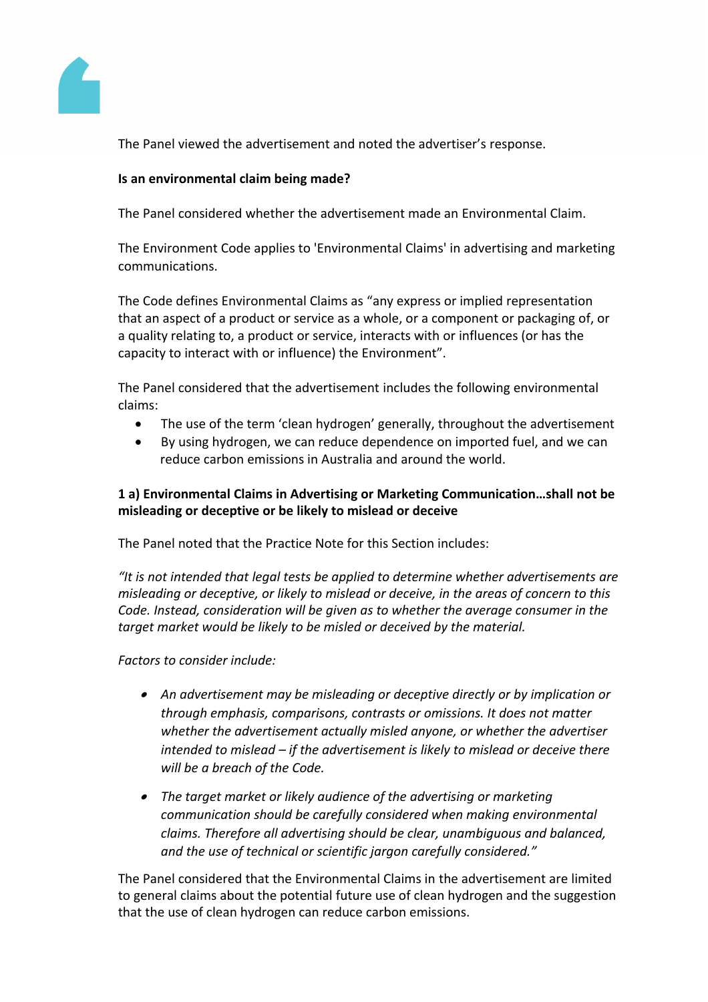

The Panel viewed the advertisement and noted the advertiser's response.

## **Is an environmental claim being made?**

The Panel considered whether the advertisement made an Environmental Claim.

The Environment Code applies to 'Environmental Claims' in advertising and marketing communications.

The Code defines Environmental Claims as "any express or implied representation that an aspect of a product or service as a whole, or a component or packaging of, or a quality relating to, a product or service, interacts with or influences (or has the capacity to interact with or influence) the Environment".

The Panel considered that the advertisement includes the following environmental claims:

- The use of the term 'clean hydrogen' generally, throughout the advertisement
- By using hydrogen, we can reduce dependence on imported fuel, and we can reduce carbon emissions in Australia and around the world.

# **1 a) Environmental Claims in Advertising or Marketing Communication…shall not be misleading or deceptive or be likely to mislead or deceive**

The Panel noted that the Practice Note for this Section includes:

*"It is not intended that legal tests be applied to determine whether advertisements are misleading or deceptive, or likely to mislead or deceive, in the areas of concern to this Code. Instead, consideration will be given as to whether the average consumer in the target market would be likely to be misled or deceived by the material.*

*Factors to consider include:*

- *An advertisement may be misleading or deceptive directly or by implication or through emphasis, comparisons, contrasts or omissions. It does not matter whether the advertisement actually misled anyone, or whether the advertiser intended to mislead – if the advertisement is likely to mislead or deceive there will be a breach of the Code.*
- *The target market or likely audience of the advertising or marketing communication should be carefully considered when making environmental claims. Therefore all advertising should be clear, unambiguous and balanced, and the use of technical or scientific jargon carefully considered."*

The Panel considered that the Environmental Claims in the advertisement are limited to general claims about the potential future use of clean hydrogen and the suggestion that the use of clean hydrogen can reduce carbon emissions.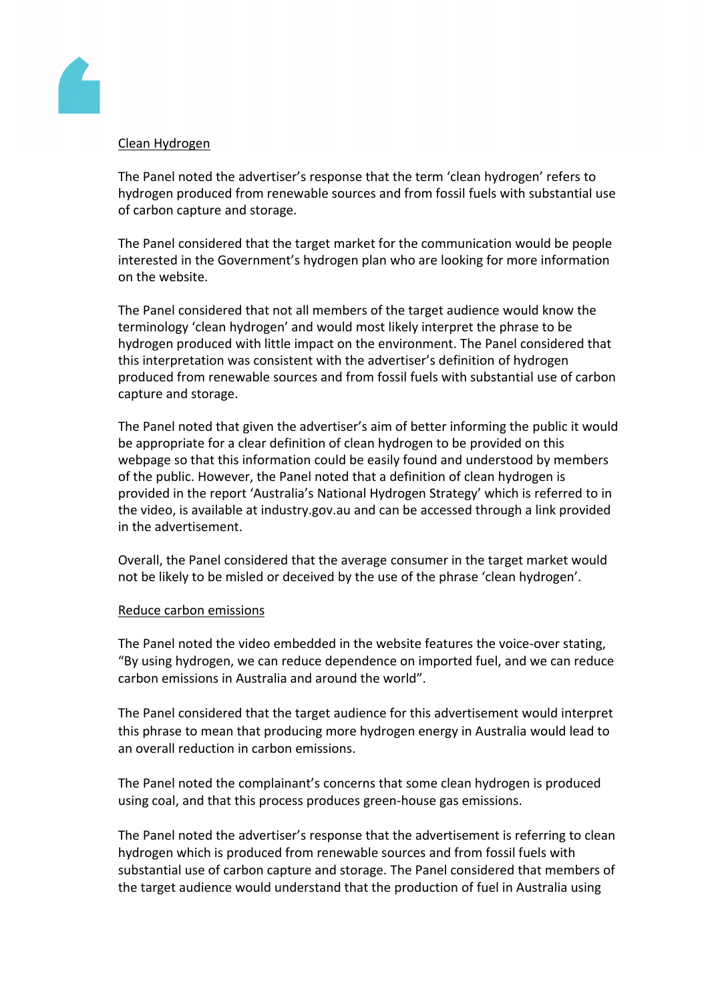

## Clean Hydrogen

The Panel noted the advertiser's response that the term 'clean hydrogen' refers to hydrogen produced from renewable sources and from fossil fuels with substantial use of carbon capture and storage.

The Panel considered that the target market for the communication would be people interested in the Government's hydrogen plan who are looking for more information on the website.

The Panel considered that not all members of the target audience would know the terminology 'clean hydrogen' and would most likely interpret the phrase to be hydrogen produced with little impact on the environment. The Panel considered that this interpretation was consistent with the advertiser's definition of hydrogen produced from renewable sources and from fossil fuels with substantial use of carbon capture and storage.

The Panel noted that given the advertiser's aim of better informing the public it would be appropriate for a clear definition of clean hydrogen to be provided on this webpage so that this information could be easily found and understood by members of the public. However, the Panel noted that a definition of clean hydrogen is provided in the report 'Australia's National Hydrogen Strategy' which is referred to in the video, is available at industry.gov.au and can be accessed through a link provided in the advertisement.

Overall, the Panel considered that the average consumer in the target market would not be likely to be misled or deceived by the use of the phrase 'clean hydrogen'.

## Reduce carbon emissions

The Panel noted the video embedded in the website features the voice-over stating, "By using hydrogen, we can reduce dependence on imported fuel, and we can reduce carbon emissions in Australia and around the world".

The Panel considered that the target audience for this advertisement would interpret this phrase to mean that producing more hydrogen energy in Australia would lead to an overall reduction in carbon emissions.

The Panel noted the complainant's concerns that some clean hydrogen is produced using coal, and that this process produces green-house gas emissions.

The Panel noted the advertiser's response that the advertisement is referring to clean hydrogen which is produced from renewable sources and from fossil fuels with substantial use of carbon capture and storage. The Panel considered that members of the target audience would understand that the production of fuel in Australia using